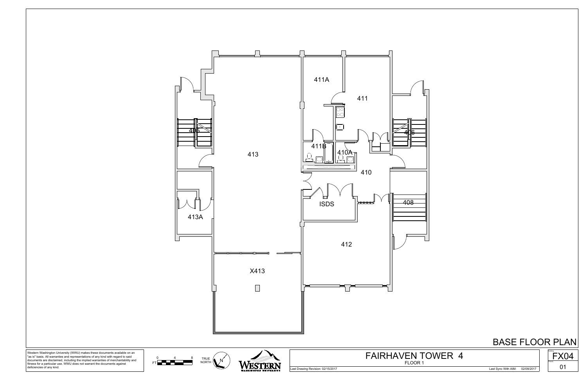

Western Washington University (WWU) makes these documents available on an<br>"as is" basis. All warranties and representations of any kind with regard to said<br>documents are disclaimed, including the implied warranties of merc

# BASE FLOOR PLAN





Last Drawing Revision: 02/15/2017 Last Sync With AIM: 02/09/2017



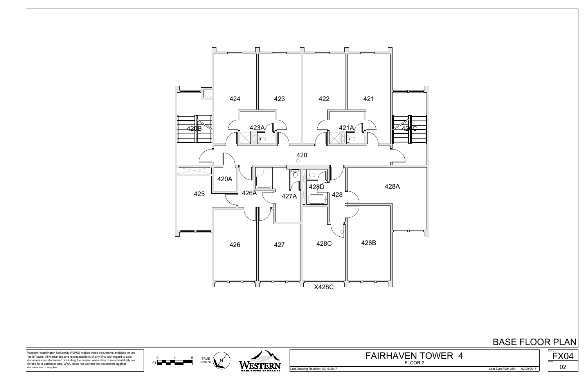

## BASE FLOOR PLAN



Western Washington University (WWU) makes these documents available on an "as is" basis. All warranties and representations of any kind with regard to said documents are disclaimed, including the implied warranties of merchantability and fitness for a particular use. WWU does not warrant the documents against deficiencies of any kind.

Last Drawing Revision: 02/15/2017 Last Sync With AIM: 02/09/2017



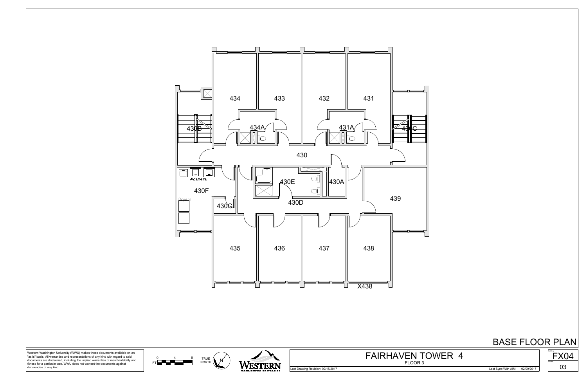

## BASE FLOOR PLAN



Western Washington University (WWU) makes these documents available on an "as is" basis. All warranties and representations of any kind with regard to said documents are disclaimed, including the implied warranties of merchantability and fitness for a particular use. WWU does not warrant the documents against deficiencies of any kind.

Last Drawing Revision: 02/15/2017 Last Sync With AIM: 02/09/2017

 $\begin{array}{cc} 0 & 4 & 8 \\ \text{FT} & \text{NORTH} \end{array}$  MORTH  $\begin{pmatrix} N' \\ N \end{pmatrix}$ 0 4 8 TRI



FLOOR 3 FAIRHAVEN TOWER 4